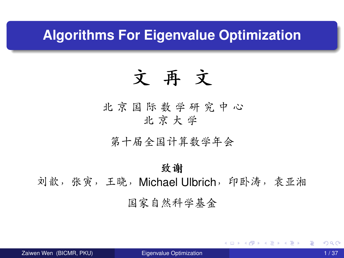### <span id="page-0-0"></span>**Algorithms For Eigenvalue Optimization**

# 文 再 文

<sup>北</sup> <sup>京</sup> <sup>国</sup> <sup>际</sup> <sup>数</sup> <sup>学</sup> <sup>研</sup> 究 <sup>中</sup> 心 北 京 大 学

第十届全国计算数学年<sup>会</sup>

#### 致谢

刘歆,张寅,王晓,Michael Ulbrich,印卧涛,袁亚湘 <sup>国</sup>家自然科学基<sup>金</sup>

K ロ ▶ K 御 ▶ K 君 ▶ K 君 ▶ ...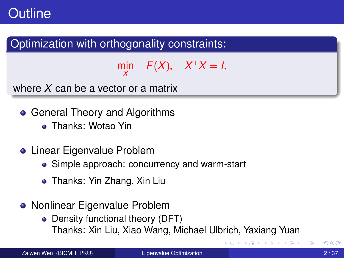### **Outline**

### Optimization with orthogonality constraints:

 $\lim_{X}$   $F(X)$ ,  $X^{\top}X = I$ , *X*

where *X* can be a vector or a matrix

- General Theory and Algorithms
	- Thanks: Wotao Yin
- **•** Linear Eigenvalue Problem
	- Simple approach: concurrency and warm-start
	- Thanks: Yin Zhang, Xin Liu
- Nonlinear Eigenvalue Problem
	- Density functional theory (DFT) Thanks: Xin Liu, Xiao Wang, Michael Ulbrich, Yaxiang Yuan

4 同 下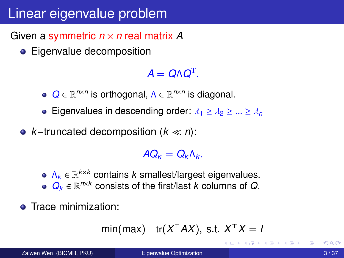### Linear eigenvalue problem

Given a symmetric *n* × *n* real matrix *A*

• Eigenvalue decomposition

 $A = Q \Lambda Q^{\text{T}}$ 

- $Q ∈ ℝ<sup>n×n</sup>$  is orthogonal, Λ ∈ ℝ<sup>*n*×*n*</sup> is diagonal.
- **Eigenvalues in descending order:**  $\lambda_1 \geq \lambda_2 \geq ... \geq \lambda_n$
- *k*−truncated decomposition (*k n*):

 $AQ_k = Q_k \Lambda_k$ .

Λ*<sup>k</sup>* ∈ R *<sup>k</sup>*×*<sup>k</sup>* contains *k* smallest/largest eigenvalues.  $Q_k$  ∈  $\mathbb{R}^{n \times k}$  consists of the first/last *k* columns of *Q*.

**•** Trace minimization:

$$
\min(\max) \quad \text{tr}(X^{\top}AX), \text{ s.t. } X^{\top}X = I
$$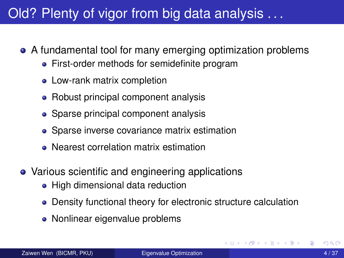### Old? Plenty of vigor from big data analysis . . .

- A fundamental tool for many emerging optimization problems
	- First-order methods for semidefinite program
	- Low-rank matrix completion
	- Robust principal component analysis
	- Sparse principal component analysis
	- Sparse inverse covariance matrix estimation
	- Nearest correlation matrix estimation
- Various scientific and engineering applications
	- High dimensional data reduction
	- Density functional theory for electronic structure calculation
	- Nonlinear eigenvalue problems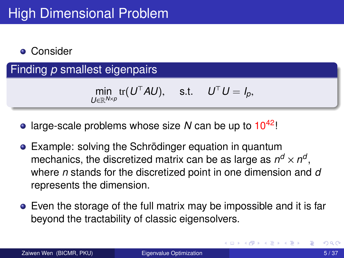#### **• Consider**

Finding *p* smallest eigenpairs

$$
\min_{U \in \mathbb{R}^{N \times p}} \text{tr}(U^{\top} A U), \quad \text{s.t.} \quad U^{\top} U = I_p,
$$

- large-scale problems whose size *N* can be up to 1042!
- Example: solving the Schrödinger equation in quantum mechanics, the discretized matrix can be as large as  $n^d \times n^d,$ where *n* stands for the discretized point in one dimension and *d* represents the dimension.
- Even the storage of the full matrix may be impossible and it is far beyond the tractability of classic eigensolvers.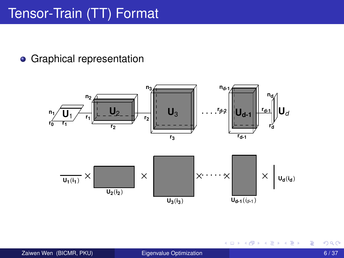## Tensor-Train (TT) Format

#### **•** Graphical representation



**4 ロト 4 何 ト 4 重 ト** 

舌

 $\left\langle 1 \right\rangle$  $\rightarrow$  ŧ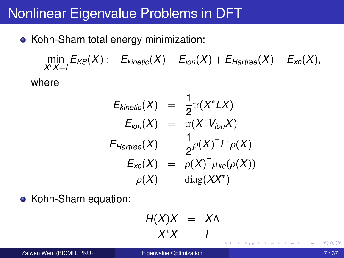### Nonlinear Eigenvalue Problems in DFT

• Kohn-Sham total energy minimization:

$$
\min_{X^*X=I} E_{KS}(X) := E_{kinetic}(X) + E_{ion}(X) + E_{Hartree}(X) + E_{xc}(X),
$$

where

$$
E_{kinetic}(X) = \frac{1}{2} \text{tr}(X^* LX)
$$
  
\n
$$
E_{ion}(X) = \text{tr}(X^* V_{ion}X)
$$
  
\n
$$
E_{Hartree}(X) = \frac{1}{2} \rho(X)^{\top} L^{\top} \rho(X)
$$
  
\n
$$
E_{xc}(X) = \rho(X)^{\top} \mu_{xc}(\rho(X))
$$
  
\n
$$
\rho(X) = \text{diag}(XX^*)
$$

• Kohn-Sham equation:

$$
H(X)X = X\Lambda
$$
  

$$
X^*X = I
$$

4 D > 4 O +

Zaiwen Wen (BICMR, PKU) [Eigenvalue Optimization](#page-0-0) **Eigenvalue Community Community 1998** 7/37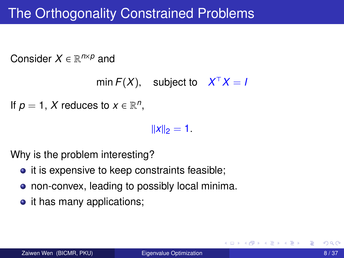### The Orthogonality Constrained Problems

Consider *X* ∈ R *<sup>n</sup>*×*<sup>p</sup>* and

```
\text{min } F(X), subject to X^{\top}X = I
```

```
If p = 1, X reduces to x \in \mathbb{R}^n,
```
 $\|x\|_2 = 1.$ 

Why is the problem interesting?

- it is expensive to keep constraints feasible;
- non-convex, leading to possibly local minima.
- it has many applications;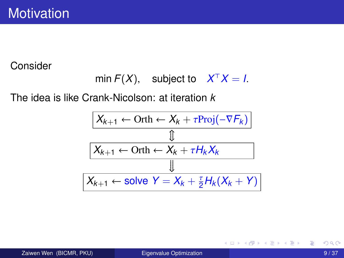Consider

min 
$$
F(X)
$$
, subject to  $X^T X = I$ .

The idea is like Crank-Nicolson: at iteration *k*

$$
X_{k+1} \leftarrow \text{Orth} \leftarrow X_k + \tau \text{Proj}(-\nabla F_k)
$$
\n
$$
\frac{\text{\n
$$
\downarrow} \boxed{X_{k+1} \leftarrow \text{Orth} \leftarrow X_k + \tau H_k X_k}
$$
\n
$$
\frac{\text{\n
$$
\downarrow} \boxed{X_{k+1} \leftarrow \text{solve } Y = X_k + \frac{\tau}{2} H_k (X_k + Y)}
$$
$$
$$

活

メロメメ 御 メメ きょく きょう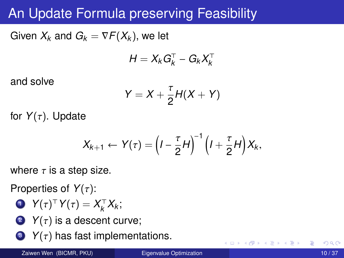### An Update Formula preserving Feasibility

Given  $X_k$  and  $G_k = \nabla F(X_k)$ , we let

$$
H = X_k G_k^{\top} - G_k X_k^{\top}
$$

and solve

$$
Y=X+\frac{\tau}{2}H(X+Y)
$$

for  $Y(\tau)$ . Update

$$
X_{k+1} \leftarrow Y(\tau) = \left(I - \frac{\tau}{2}H\right)^{-1} \left(I + \frac{\tau}{2}H\right)X_k,
$$

where  $\tau$  is a step size.

Properties of *<sup>Y</sup>*(τ):

$$
\bullet \ \ Y(\tau)^{\top} \, Y(\tau) = X_{k}^{\top} \, X_{k};
$$

- 2  $Y(\tau)$  is a descent curve;
- $\bullet$  *Y*( $\tau$ ) has fast implementations.

4 **D + 4 fl + 4**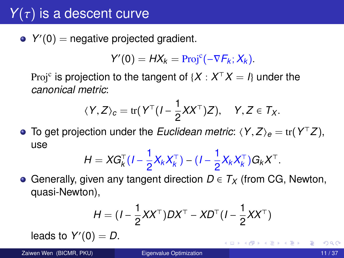## $Y(\tau)$  is a descent curve

*Y*'(0) = negative projected gradient.

$$
Y'(0) = HX_k = \text{Proj}^c(-\nabla F_k; X_k).
$$

Proj $\mathrm{c}\,$  is projection to the tangent of  $\{X: X^\top X = I\}$  under the *canonical metric*:

$$
\langle Y, Z \rangle_c = \text{tr}(Y^\top (I - \frac{1}{2}XX^\top)Z), \quad Y, Z \in T_X.
$$

To get projection under the *Euclidean metric*:  $\langle Y, Z \rangle_e = \text{tr}(Y^\top Z),$ use

$$
H = XG_{k}^{T}(I - \frac{1}{2}X_{k}X_{k}^{T}) - (I - \frac{1}{2}X_{k}X_{k}^{T})G_{k}X^{T}.
$$

Generally, given any tangent direction *D* ∈ *T<sup>X</sup>* (from CG, Newton, quasi-Newton),

$$
H = (I - \frac{1}{2}XX^{T})DX^{T} - XD^{T}(I - \frac{1}{2}XX^{T})
$$

leads to  $Y'(0) = D$ .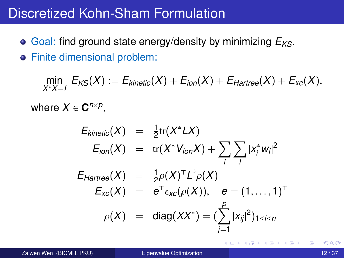### Discretized Kohn-Sham Formulation

Goal: find ground state energy/density by minimizing *EKS*. Finite dimensional problem:

$$
\min_{X^* X = I} E_{KS}(X) := E_{kinetic}(X) + E_{ion}(X) + E_{Hartree}(X) + E_{xc}(X),
$$
\n
$$
\text{where } X \in \mathbf{C}^{n \times p},
$$
\n
$$
E_{kinetic}(X) = \frac{1}{2} \text{tr}(X^* L X)
$$
\n
$$
E_{ion}(X) = \text{tr}(X^* V_{ion} X) + \sum_i \sum_j |x_i^* w_j|^2
$$
\n
$$
E_{Hartree}(X) = \frac{1}{2} \rho(X)^\top L^\top \rho(X)
$$
\n
$$
E_{xc}(X) = e^\top \epsilon_{xc}(\rho(X)), \quad e = (1, \dots, 1)^\top
$$
\n
$$
\rho(X) = \text{diag}(XX^*) = (\sum_{j=1}^p |x_{ij}|^2)_{1 \le i \le n}
$$

4 D.K.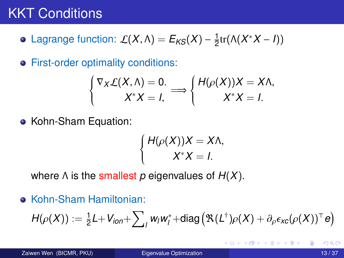### **KKT Conditions**

Lagrange function:  $\mathcal{L}(X,\Lambda) = \mathcal{E}_{\mathcal{KS}}(X) - \frac{1}{2}$  $\frac{1}{2}$ tr( $\Lambda(X^*X-I)$ )

**•** First-order optimality conditions:

$$
\begin{cases} \nabla_X \mathcal{L}(X, \Lambda) = 0. \\ X^* X = I, \end{cases} \Longrightarrow \begin{cases} H(\rho(X)) X = X \Lambda, \\ X^* X = I. \end{cases}
$$

• Kohn-Sham Equation:

$$
\begin{cases}\nH(\rho(X))X = X\Lambda, \\
X^*X = I.\n\end{cases}
$$

where Λ is the smallest *p* eigenvalues of *H*(*X*).

Kohn-Sham Hamiltonian:

$$
H(\rho(X)) := \frac{1}{2}L + V_{ion} + \sum_{i} w_i w_i^* + \text{diag}(\mathfrak{R}(L^{\dagger})\rho(X) + \partial_{\rho}\epsilon_{xc}(\rho(X))^{\top}e)
$$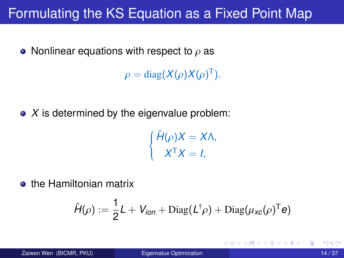### Formulating the KS Equation as a Fixed Point Map

• Nonlinear equations with respect to  $\rho$  as

 $\rho = \text{diag}(X(\rho)X(\rho)^T).$ 

• *X* is determined by the eigenvalue problem:

$$
\begin{cases}\n\hat{H}(\rho)X = X\Lambda, \\
X^{\mathrm{T}}X = I,\n\end{cases}
$$

**o** the Hamiltonian matrix

$$
\hat{H}(\rho) := \frac{1}{2}L + V_{ion} + \text{Diag}(L^{\dagger}\rho) + \text{Diag}(\mu_{\text{xc}}(\rho)^{\text{T}}e)
$$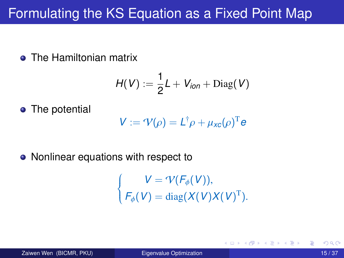### Formulating the KS Equation as a Fixed Point Map

**• The Hamiltonian matrix** 

$$
H(V):=\frac{1}{2}L+V_{ion}+\text{Diag}(V)
$$

• The potential

$$
V := \mathcal{V}(\rho) = L^{\dagger} \rho + \mu_{\text{xc}}(\rho)^{\text{T}} e
$$

• Nonlinear equations with respect to

<span id="page-14-0"></span> $\left\{ \right.$  $\overline{\mathcal{L}}$  $V = \mathcal{V}(F_{\phi}(V)),$  $F_{\phi}(V) = \text{diag}(X(V)X(V)^{T}).$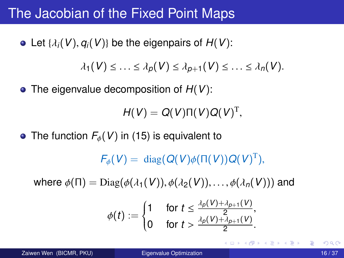### <span id="page-15-0"></span>The Jacobian of the Fixed Point Maps

• Let  $\{\lambda_i(V), q_i(V)\}\$  be the eigenpairs of  $H(V)$ :

 $\lambda_1(V) \leq \ldots \leq \lambda_p(V) \leq \lambda_{p+1}(V) \leq \ldots \leq \lambda_n(V).$ 

The eigenvalue decomposition of *H*(*V*):

$$
H(V) = Q(V)\Pi(V)Q(V)^{\mathrm{T}},
$$

• The function  $F_{\phi}(V)$  in [\(15\)](#page-14-0) is equivalent to

 $F_{\phi}(V) = \text{diag}(Q(V)\phi(\Pi(V))Q(V)^{\text{T}}),$ 

where  $\phi(\Pi) = \text{Diag}(\phi(\lambda_1(V)), \phi(\lambda_2(V)), \ldots, \phi(\lambda_n(V)))$  and

$$
\phi(t) := \begin{cases} 1 & \text{for } t \leq \frac{\lambda_{p}(V) + \lambda_{p+1}(V)}{2}, \\ 0 & \text{for } t > \frac{\lambda_{p}(V) + \lambda_{p+1}(V)}{2}. \end{cases}
$$

イロト イ押ト イヨト イヨト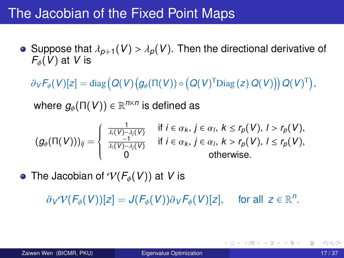### <span id="page-16-0"></span>The Jacobian of the Fixed Point Maps

- Suppose that  $\lambda_{p+1}(V) > \lambda_p(V)$ . Then the directional derivative of *<sup>F</sup>*φ(*V*) at *<sup>V</sup>* is
	- $\partial_V \mathcal{F}_{\phi}(V)[z] = \text{diag}\left(Q(V)\left(g_{\phi}(\Pi(V)) \circ \left(Q(V)^{\text{T}} \text{Diag}(z) Q(V)\right)\right) Q(V)^{\text{T}}\right)$

where  $g_{\phi}(\Pi(V)) \in \mathbb{R}^{n \times n}$  is defined as

$$
(g_{\phi}(\Pi(V)))_{ij} = \left\{ \begin{array}{ll} \frac{1}{\lambda_i(V)-\lambda_j(V)} & \text{if } i \in \alpha_k, j \in \alpha_l, k \leq r_p(V), l > r_p(V), \\ \frac{-1}{\lambda_i(V)-\lambda_j(V)} & \text{if } i \in \alpha_k, j \in \alpha_l, k > r_p(V), l \leq r_p(V), \\ 0 & \text{otherwise.} \end{array} \right.
$$

• The Jacobian of  $V(F_{\phi}(V))$  at V is

 $\partial$ *V* $V(F_{\phi}(V))[z] = J(F_{\phi}(V))\partial$ *V* $F_{\phi}(V)[z]$ , for all  $z \in \mathbb{R}^n$ 

K ロ ▶ K 御 ▶ K 君 ▶ K 君 ▶ ..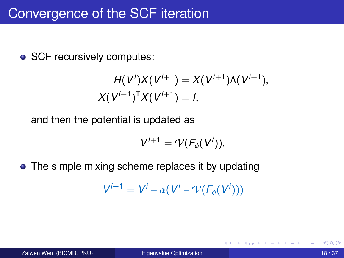• SCF recursively computes:

$$
H(V^{i})X(V^{i+1}) = X(V^{i+1})\Lambda(V^{i+1}),
$$
  
 
$$
X(V^{i+1})^{T}X(V^{i+1}) = I,
$$

and then the potential is updated as

$$
V^{i+1}=\mathcal{V}(F_{\phi}(V^{i})).
$$

• The simple mixing scheme replaces it by updating

$$
V^{i+1} = V^i - \alpha (V^i - \gamma (F_{\phi}(V^i)))
$$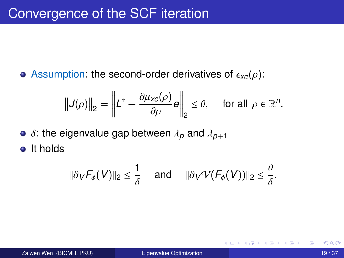Assumption: the second-order derivatives of  $\epsilon_{xc}(\rho)$ :

$$
\left\|J(\rho)\right\|_2 = \left\|L^{\dagger} + \frac{\partial \mu_{\text{xc}}(\rho)}{\partial \rho}e\right\|_2 \leq \theta, \quad \text{ for all } \rho \in \mathbb{R}^n.
$$

 $\bullet$   $\delta$ : the eigenvalue gap between  $\lambda_p$  and  $\lambda_{p+1}$ 

o It holds

$$
\|\partial_V F_\phi(V)\|_2 \leq \frac{1}{\delta} \quad \text{ and } \quad \|\partial_V \mathcal{V}(F_\phi(V))\|_2 \leq \frac{\theta}{\delta}.
$$

4 0 8

 $\leftarrow$   $\leftarrow$   $\leftarrow$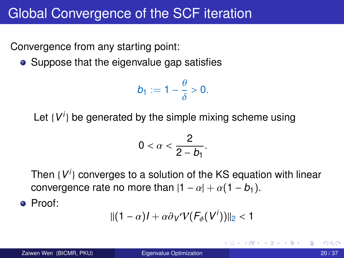### Global Convergence of the SCF iteration

Convergence from any starting point:

• Suppose that the eigenvalue gap satisfies

$$
b_1:=1-\frac{\theta}{\delta}>0.
$$

Let {V<sup>*i*</sup>} be generated by the simple mixing scheme using

$$
0<\alpha<\frac{2}{2-b_1}.
$$

Then {*V i* } converges to a solution of the KS equation with linear convergence rate no more than  $|1 - \alpha| + \alpha(1 - b_1)$ .

Proof:

$$
\| (1-\alpha)I + \alpha \partial_V \mathcal{V}(F_\phi(V^i)) \|_2 < 1
$$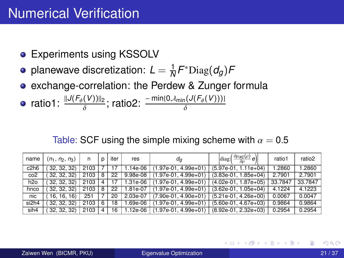- Experiments using KSSOLV
- planewave discretization:  $L = \frac{1}{N}$  $\frac{1}{N}$ *F*<sup>∗</sup>Diag(*d<sub>g</sub>*)*F*
- exchange-correlation: the Perdew & Zunger formula

• ratio1: 
$$
\frac{||J(F_{\phi}(V))||_2}{\delta}
$$
; ratio2:  $\frac{-\min\{0,\lambda_{\min}(J(F_{\phi}(V))\}}{\delta}$ 

Table: SCF using the simple mixing scheme with  $\alpha = 0.5$ 

| name             | $(n_1, n_2, n_3)$ | n    | D | iter | res      | da                     | $\left \text{diag}\left(\frac{\partial \mu_{XC}(\rho)}{\partial \rho}e\right)\right $ | ratio1  | ratio2  |
|------------------|-------------------|------|---|------|----------|------------------------|---------------------------------------------------------------------------------------|---------|---------|
| c2h6             | 32, 32, 32)       | 2103 |   |      | 1.14e-06 | $(1.97e-01.4.99e+01)$  | $(5.97e-01, 1.11e+04)$                                                                | 1.2860  | 1.2860  |
| co2              | 32, 32, 32)       | 2103 | 8 | 22   | 9.98e-08 | $(1.97e-01.4.99e+01)$  | $(3.83e-01, 1.85e+04)$                                                                | 2.7901  | 2.7901  |
| h <sub>2o</sub>  | 32, 32, 32)       | 2103 |   |      | 1.31e-06 | $(1.97e-01.4.99e+01)$  | $(4.02e-01.1.87e+05)$                                                                 | 33.7847 | 33.7847 |
| hnco             | 32, 32, 32)       | 2103 | 8 | 22   | 1.81e-07 | $(1.97e-01.4.99e+01)$  | $(3.62e-01, 1.05e+04)$                                                                | 4.1224  | 4.1223  |
| nic              | 16.16.16          | 251  |   | 20   | 2.03e-07 | $(7.90e-01, 4.90e+01)$ | $(5.21e-01, 4.26e+00)$                                                                | 0.0067  | 0.0047  |
| si2h4            | 32, 32, 32)       | 2103 | 6 | 18   | 1.69e-06 | $(1.97e-01.4.99e+01)$  | $(5.60e-01.4.67e+03)$                                                                 | 0.9864  | 0.9864  |
| sih <sub>4</sub> | 32, 32, 32)       | 2103 | 4 | 16   | 1.12e-06 | $(1.97e-01.4.99e+01)$  | $(8.92e-01, 2.32e+03)$                                                                | 0.2954  | 0.2954  |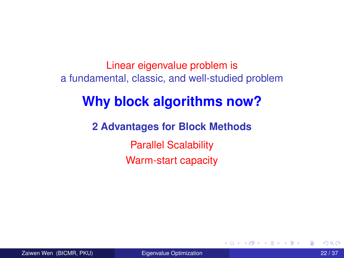Linear eigenvalue problem is a fundamental, classic, and well-studied problem

### **Why block algorithms now?**

**2 Advantages for Block Methods** Parallel Scalability Warm-start capacity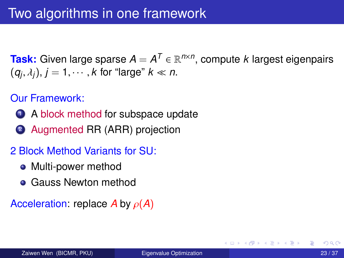**Task:** Given large sparse  $A = A^T \in \mathbb{R}^{n \times n}$ , compute *k* largest eigenpairs  $(q_j, \lambda_j)$ ,  $j = 1, \cdots, k$  for "large"  $k \ll n$ .

#### Our Framework:

- <sup>1</sup> A block method for subspace update
- **2** Augmented RR (ARR) projection

#### 2 Block Method Variants for SU:

- Multi-power method
- **Gauss Newton method**

#### Acceleration: replace *<sup>A</sup>* by ρ(*A*)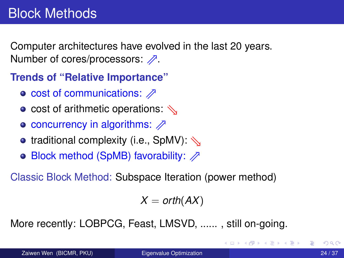<span id="page-23-0"></span>Computer architectures have evolved in the last 20 years. Number of cores/processors:  $\mathbb{Z}$ .

**Trends of "Relative Importance"**

- $\circ$  cost of communications:  $\not\supset$
- cost of arithmetic operations:  $\mathcal{N}$
- $\circ$  concurrency in algorithms:  $\not$
- **•** traditional complexity (i.e., SpMV):  $\Diamond$
- $\circ$  Block method (SpMB) favorability:  $\oslash$

Classic Block Method: Subspace Iteration (power method)

 $X = \text{orth}(AX)$ 

More recently: LOBPCG, Feast, LMSVD, ...... , still on-going.

イロト イ押 トイラト イラトー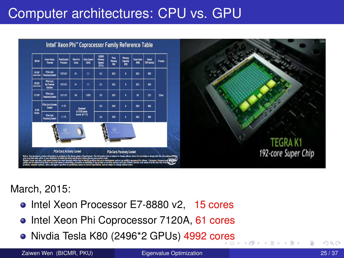### Computer architectures: CPU vs. GPU



March, 2015:

- Intel Xeon Processor E7-8880 v2, 15 cores
- Intel Xeon Phi Coprocessor 7120A, 61 cores
- Nivdia Tesla K80 (2496\*2 GPUs) 4992 co[re](#page-23-0)s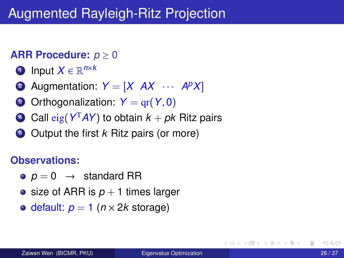### Augmented Rayleigh-Ritz Projection

#### **ARR Procedure:** *p* ≥ 0

- <sup>1</sup> Input *X* ∈ R *n*×*k*
- 2 Augmentation:  $Y = [X \quad AX \quad \cdots \quad A^p X]$
- $\bullet$  Orthogonalization:  $Y = \text{gr}(Y, 0)$
- <sup>4</sup> Call eig(*Y* <sup>T</sup>*AY*) to obtain *k* + *pk* Ritz pairs
- <sup>5</sup> Output the first *k* Ritz pairs (or more)

#### **Observations:**

- $\rho = 0 \rightarrow$  standard RR
- size of ARR is  $p + 1$  times larger
- $\circ$  default:  $p = 1$  ( $n \times 2k$  storage)

. . . . . . .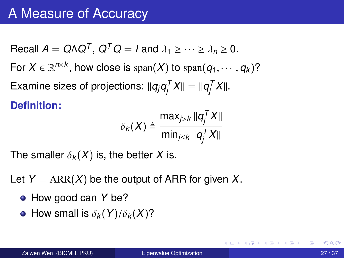<span id="page-26-0"></span> $\textsf{Recall } A = Q \Lambda Q^T$ ,  $Q^T Q = I$  and  $λ_1 ≥ ⋯ ≥ λ_n ≥ 0$ . For  $X \in \mathbb{R}^{n \times k}$ , how close is  $\text{span}(X)$  to  $\text{span}(q_1, \dots, q_k)$ ? Examine sizes of projections:  $\|q_j q^{\mathcal{T}}_j\|$  $q_j^{\mathcal{T}}X \parallel = \parallel \! \! q_j^{\mathcal{T}}$  $\int_j^I X$ ||. **Definition:**

$$
\delta_k(X) \triangleq \frac{\max_{j>k} ||q_j^T X||}{\min_{j\leq k} ||q_j^T X||}
$$

The smaller  $\delta_k(X)$  is, the better X is.

Let  $Y = ARR(X)$  be the output of ARR for given X.

- How good can *Y* be?
- How small is  $\delta_k(Y)/\delta_k(X)$ ?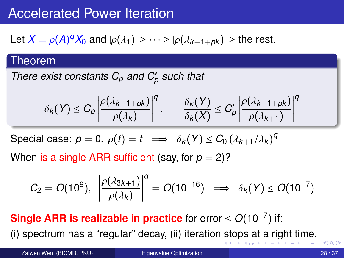### <span id="page-27-0"></span>Accelerated Power Iteration

Let  $X = \rho(A)^q X_0$  and  $|\rho(\lambda_1)| \geq \cdots \geq |\rho(\lambda_{k+1} + \rho_k)| \geq$  the rest.

#### Theorem

*There exist constants*  $C_p$  *and*  $C_p'$  *such that* 

$$
\delta_k(Y) \leq C_p \left| \frac{\rho(\lambda_{k+1+pk})}{\rho(\lambda_k)} \right|^q \cdot \frac{\delta_k(Y)}{\delta_k(X)} \leq C'_p \left| \frac{\rho(\lambda_{k+1+pk})}{\rho(\lambda_{k+1})} \right|^q
$$

Special case:  $p = 0$ ,  $\rho(t) = t \implies \delta_k(Y) \le C_0 (\lambda_{k+1}/\lambda_k)^q$ 

When is a single ARR sufficient (say, for  $p = 2$ )?

$$
C_2 = O(10^9), \ \left| \frac{\rho(\lambda_{3k+1})}{\rho(\lambda_k)} \right|^q = O(10^{-16}) \ \implies \delta_k(Y) \leq O(10^{-7})
$$

**Single ARR is realizable in practice** for error ≤ *O*(10−<sup>7</sup> ) if:

(i) spectrum has a "regular" decay, (ii) iteration [st](#page-26-0)[op](#page-28-0)[s](#page-26-0) [a](#page-27-0)[t](#page-28-0) [a](#page-0-0) [rig](#page-36-0)[ht](#page-0-0) [ti](#page-36-0)[m](#page-0-0)[e.](#page-36-0)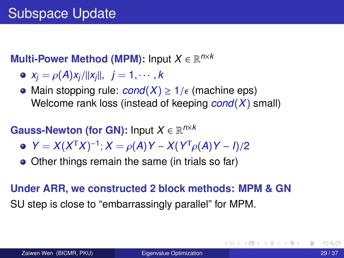### <span id="page-28-0"></span>**Multi-Power Method (MPM):** Input *X* ∈ R *n*×*k*

- $\circ$  *x*<sub>*j*</sub> =  $\rho(A)x_j/||x_j||$ , *j* = 1, · · · , *k*
- Main stopping rule:  $cond(X) \geq 1/\epsilon$  (machine eps) Welcome rank loss (instead of keeping *cond*(*X*) small)

#### **Gauss-Newton (for GN):** Input *X* ∈ R *n*×*k*

- *Y* = *X*(*X*<sup>T</sup>*X*)<sup>-1</sup>; *X* =  $\rho(A)$ *Y* − *X*(*Y*<sup>T</sup> $\rho(A)$ *Y* − *I*)/2
- Other things remain the same (in trials so far)

### **Under ARR, we constructed 2 block methods: MPM & GN** SU step is close to "embarrassingly parallel" for MPM.

K ロ ▶ K 御 ▶ K 君 ▶ K 君 ▶ ...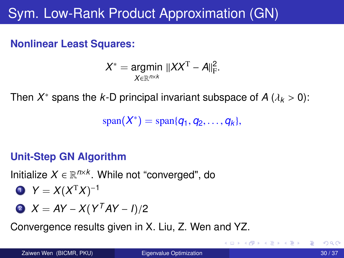## Sym. Low-Rank Product Approximation (GN)

#### **Nonlinear Least Squares:**

$$
X^* = \underset{X \in \mathbb{R}^{n \times k}}{\text{argmin}} \ \|XX^{\mathrm{T}} - A\|_{\mathrm{F}}^2.
$$

Then  $X^*$  spans the *k*-D principal invariant subspace of  $A$  ( $\lambda_k > 0$ ):

 $span(X^*) = span{q_1, q_2, ..., q_k},$ 

#### **Unit-Step GN Algorithm**

Initialize  $X \in \mathbb{R}^{n \times k}$ . While not "converged", do

$$
Y = X(XTX)^{-1}
$$

$$
X = AY - X(YTAY - I)/2
$$

Convergence results given in X. Liu, Z. Wen and YZ.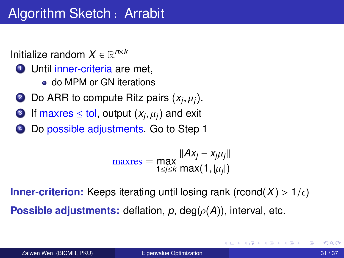Initialize random  $X \in \mathbb{R}^{n \times k}$ 

- **1** Until inner-criteria are met,
	- do MPM or GN iterations
- 2 Do ARR to compute Ritz pairs  $(x_j, \mu_j)$ .
- 3 If maxres  $\leq$  tol, output  $(x_j, \mu_j)$  and exit
- <sup>4</sup> Do possible adjustments. Go to Step 1

$$
\text{maxres} = \max_{1 \leq j \leq k} \frac{||Ax_j - x_{j}\mu_j||}{\max(1, |\mu_j|)}
$$

**Inner-criterion:** Keeps iterating until losing rank (rcond(*X*) >  $1/\epsilon$ ) **Possible adjustments:** deflation,  $p$ , deg( $\rho(A)$ ), interval, etc.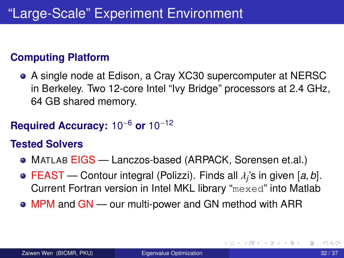#### **Computing Platform**

A single node at Edison, a Cray XC30 supercomputer at NERSC in Berkeley. Two 12-core Intel "Ivy Bridge" processors at 2.4 GHz, 64 GB shared memory.

### **Required Accuracy:** 10−<sup>6</sup> **or** 10−<sup>12</sup>

#### **Tested Solvers**

- MATLAB EIGS Lanczos-based (ARPACK, Sorensen et.al.)
- FEAST Contour integral (Polizzi). Finds all <sup>λ</sup>*<sup>j</sup>* 's in given [*a*, *<sup>b</sup>*]. Current Fortran version in Intel MKL library "mexed" into Matlab
- MPM and GN our multi-power and GN method with ARR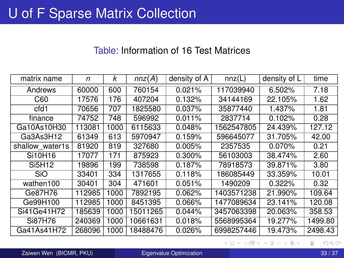#### Table: Information of 16 Test Matrices

| matrix name     | n      | k    | nnz(A)   | density of A | nnz(L)     | density of L | time    |
|-----------------|--------|------|----------|--------------|------------|--------------|---------|
| Andrews         | 60000  | 600  | 760154   | 0.021%       | 117039940  | 6.502%       | 7.18    |
| C60             | 17576  | 176  | 407204   | 0.132%       | 34144169   | 22.105%      | 1.62    |
| cfd1            | 70656  | 707  | 1825580  | 0.037%       | 35877440   | 1.437%       | 1.81    |
| finance         | 74752  | 748  | 596992   | 0.011%       | 2837714    | 0.102%       | 0.28    |
| Ga10As10H30     | 113081 | 1000 | 6115633  | 0.048%       | 1562547805 | 24.439%      | 127.12  |
| Ga3As3H12       | 61349  | 613  | 5970947  | 0.159%       | 596645077  | 31.705%      | 42.00   |
| shallow water1s | 81920  | 819  | 327680   | 0.005%       | 2357535    | 0.070%       | 0.21    |
| Si10H16         | 17077  | 171  | 875923   | $0.300\%$    | 56103003   | 38.474%      | 2.60    |
| Si5H12          | 19896  | 199  | 738598   | 0.187%       | 78918573   | 39.871%      | 3.80    |
| <b>SiO</b>      | 33401  | 334  | 1317655  | 0.118%       | 186085449  | 33.359%      | 10.01   |
| wathen100       | 30401  | 304  | 471601   | 0.051%       | 1490209    | 0.322%       | 0.32    |
| Ge87H76         | 112985 | 1000 | 7892195  | 0.062%       | 1403571238 | 21.990%      | 109.64  |
| Ge99H100        | 112985 | 1000 | 8451395  | 0.066%       | 1477089634 | 23.141%      | 120.08  |
| Si41Ge41H72     | 185639 | 1000 | 5011265  | 0.044%       | 3457063398 | 20.063%      | 358.53  |
| Si87H76         | 240369 | 1000 | 10661631 | 0.018%       | 5568995364 | 19.277%      | 1499.80 |
| Ga41As41H72     | 268096 | 1000 | 8488476  | 0.026%       | 6998257446 | 19.473%      | 2498.43 |

Zaiwen Wen (BICMR, PKU) [Eigenvalue Optimization](#page-0-0) 33 / 37

重

K ロ ⊁ K 倒 ≯ K 君 ⊁ K 君 ⊁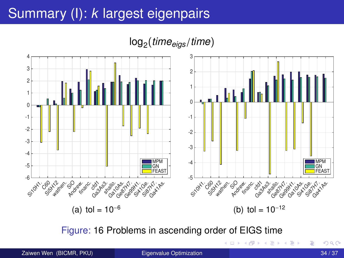### Summary (I): *k* largest eigenpairs

log<sup>2</sup> (*timeeigs*/*time*)



Figure: 16 Problems in ascending order of EIGS time

Zaiwen Wen (BICMR, PKU) [Eigenvalue Optimization](#page-0-0) 34 / 37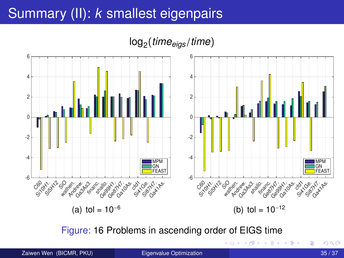### <span id="page-34-0"></span>Summary (II): *k* smallest eigenpairs

log<sup>2</sup> (*timeeigs*/*time*)



Figure: 16 Problems in ascending order of EIGS time

Zaiwen Wen (BICMR, PKU) [Eigenvalue Optimization](#page-0-0) 35 / 37

Þ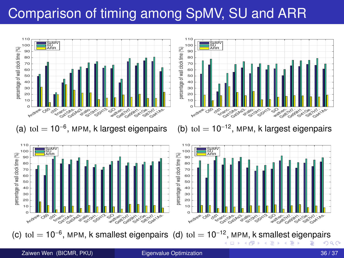## <span id="page-35-0"></span>Comparison of timing among SpMV, SU and ARR



(a) tol  $= 10^{-6}$ , MPM, k largest eigenpairs



SpMV<br>SU<br>ARR

(b) tol  $= 10^{-12}$ , MPM, k largest eigenpairs



つへへ